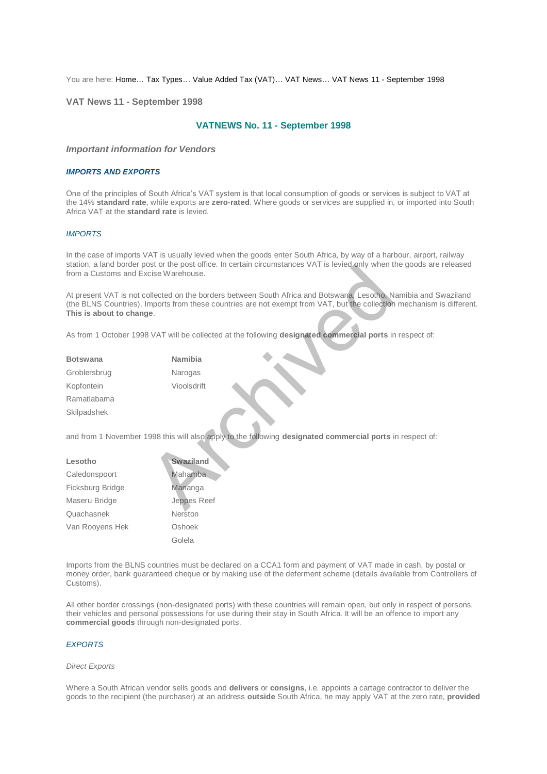You are here: [Home…](http://196.38.114.171/home.asp?pid=1) [Tax Types…](http://196.38.114.171/home.asp?pid=161) [Value Added Tax \(VAT\)…](http://196.38.114.171/home.asp?pid=194) [VAT News…](http://196.38.114.171/home.asp?pid=4722) [VAT News 11 - September 1998](http://196.38.114.171/home.asp?pid=47318) 

**VAT News 11 - September 1998** 

# **VATNEWS No. 11 - September 1998**

## *Important information for Vendors*

### *IMPORTS AND EXPORTS*

One of the principles of South Africa's VAT system is that local consumption of goods or services is subject to VAT at the 14% **standard rate**, while exports are **zero-rated**. Where goods or services are supplied in, or imported into South Africa VAT at the **standard rate** is levied.

# *IMPORTS*

In the case of imports VAT is usually levied when the goods enter South Africa, by way of a harbour, airport, railway station, a land border post or the post office. In certain circumstances VAT is levied only when the goods are released from a Customs and Excise Warehouse.

At present VAT is not collected on the borders between South Africa and Botswana, Lesotho, Namibia and Swaziland (the BLNS Countries). Imports from these countries are not exempt from VAT, but the collection mechanism is different. **This is about to change**. Station the post of the borders between South Africa and Botswana, Lesotho, Network of the borders between South Africa and Botswana, Lesotho, Networks from these countries are not exempt from VAT, but the collection<br>Are t

As from 1 October 1998 VAT will be collected at the following **designated commercial ports** in respect of:

| <b>Botswana</b> | Namibia     |
|-----------------|-------------|
| Groblersbrug    | Narogas     |
| Kopfontein      | Vioolsdrift |
| Ramatlabama     |             |
| Skilpadshek     |             |

and from 1 November 1998 this will also apply to the following **designated commercial ports** in respect of:

| Lesotho          | Swaziland   |
|------------------|-------------|
| Caledonspoort    | Mahamba     |
| Ficksburg Bridge | Mananga     |
| Maseru Bridge    | Jeppes Reef |
| Quachasnek       | Neršton     |
| Van Rooyens Hek  | Oshoek      |
|                  | Golela      |

Imports from the BLNS countries must be declared on a CCA1 form and payment of VAT made in cash, by postal or money order, bank guaranteed cheque or by making use of the deferment scheme (details available from Controllers of Customs).

All other border crossings (non-designated ports) with these countries will remain open, but only in respect of persons, their vehicles and personal possessions for use during their stay in South Africa. It will be an offence to import any **commercial goods** through non-designated ports.

# *EXPORTS*

#### *Direct Exports*

Where a South African vendor sells goods and **delivers** or **consigns**, i.e. appoints a cartage contractor to deliver the goods to the recipient (the purchaser) at an address **outside** South Africa, he may apply VAT at the zero rate, **provided**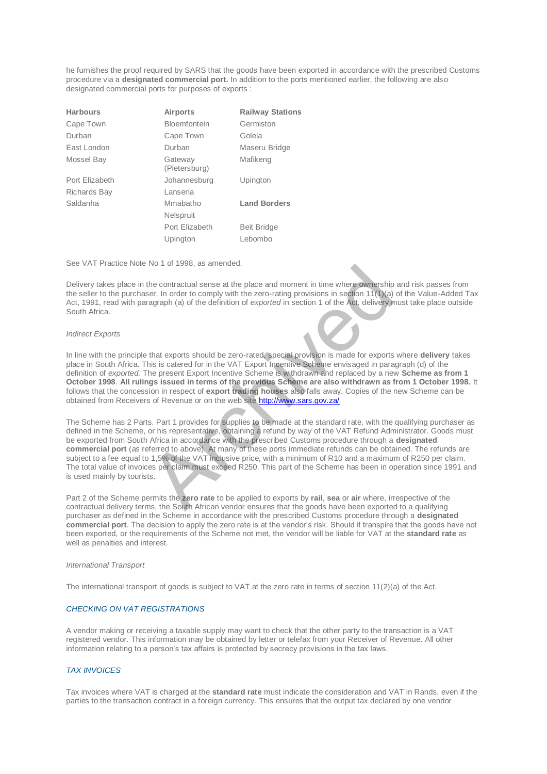he furnishes the proof required by SARS that the goods have been exported in accordance with the prescribed Customs procedure via a **designated commercial port.** In addition to the ports mentioned earlier, the following are also designated commercial ports for purposes of exports :

| <b>Harbours</b> | Airports                 | <b>Railway Stations</b> |
|-----------------|--------------------------|-------------------------|
| Cape Town       | Bloemfontein             | Germiston               |
| Durban          | Cape Town                | Golela                  |
| East London     | Durban                   | Maseru Bridge           |
| Mossel Bay      | Gateway<br>(Pietersburg) | Mafikeng                |
| Port Elizabeth  | Johannesburg             | Upington                |
| Richards Bay    | Lanseria                 |                         |
| Saldanha        | Mmabatho                 | <b>Land Borders</b>     |
|                 | <b>Nelspruit</b>         |                         |
|                 | Port Elizabeth           | <b>Beit Bridge</b>      |
|                 | Upington                 | Lebombo                 |
|                 |                          |                         |

See VAT Practice Note No 1 of 1998, as amended.

Delivery takes place in the contractual sense at the place and moment in time where ownership and risk passes from the seller to the purchaser. In order to comply with the zero-rating provisions in section 11(1)(a) of the Value-Added Tax Act, 1991, read with paragraph (a) of the definition of *exported* in section 1 of the Act, delivery must take place outside South Africa.

### *Indirect Exports*

In line with the principle that exports should be zero-rated, special provision is made for exports where **delivery** takes place in South Africa. This is catered for in the VAT Export Incentive Scheme envisaged in paragraph (d) of the definition of *exported.* The present Export Incentive Scheme is withdrawn and replaced by a new **Scheme as from 1 October 1998**. **All rulings issued in terms of the previous Scheme are also withdrawn as from 1 October 1998.** It follows that the concession in respect of **export trading houses** also falls away. Copies of the new Scheme can be obtained from Receivers of Revenue or on the web site http://www.sars.gov.za/

The Scheme has 2 Parts. Part 1 provides for supplies to be made at the standard rate, with the qualifying purchaser as defined in the Scheme, or his representative, obtaining a refund by way of the VAT Refund Administrator. Goods must be exported from South Africa in accordance with the prescribed Customs procedure through a **designated commercial port** (as referred to above). At many of these ports immediate refunds can be obtained. The refunds are subject to a fee equal to 1,5% of the VAT inclusive price, with a minimum of R10 and a maximum of R250 per claim. The total value of invoices per claim must exceed R250. This part of the Scheme has been in operation since 1991 and is used mainly by tourists. The contractual sense at the place and moment in time where ownership<br>the contractual sense at the place and moment in time where ownership<br>for an order to comply with the zero-rating provisions in section 11(1)(a)<br>ragraph

Part 2 of the Scheme permits the **zero rate** to be applied to exports by **rail**, **sea** or **air** where, irrespective of the contractual delivery terms, the South African vendor ensures that the goods have been exported to a qualifying purchaser as defined in the Scheme in accordance with the prescribed Customs procedure through a **designated commercial port**. The decision to apply the zero rate is at the vendor's risk. Should it transpire that the goods have not been exported, or the requirements of the Scheme not met, the vendor will be liable for VAT at the **standard rate** as well as penalties and interest.

#### *International Transport*

The international transport of goods is subject to VAT at the zero rate in terms of section 11(2)(a) of the Act.

## *CHECKING ON VAT REGISTRATIONS*

A vendor making or receiving a taxable supply may want to check that the other party to the transaction is a VAT registered vendor. This information may be obtained by letter or telefax from your Receiver of Revenue. All other information relating to a person's tax affairs is protected by secrecy provisions in the tax laws.

# *TAX INVOICES*

Tax invoices where VAT is charged at the **standard rate** must indicate the consideration and VAT in Rands, even if the parties to the transaction contract in a foreign currency. This ensures that the output tax declared by one vendor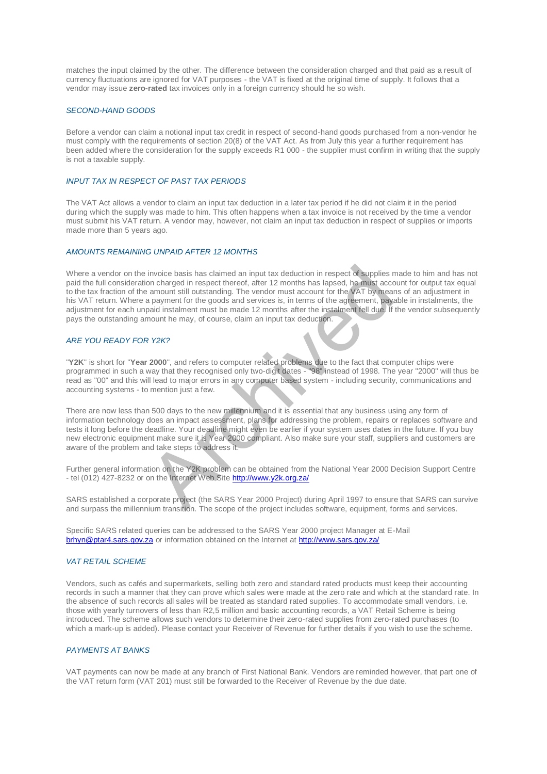matches the input claimed by the other. The difference between the consideration charged and that paid as a result of currency fluctuations are ignored for VAT purposes - the VAT is fixed at the original time of supply. It follows that a vendor may issue **zero-rated** tax invoices only in a foreign currency should he so wish.

## *SECOND-HAND GOODS*

Before a vendor can claim a notional input tax credit in respect of second-hand goods purchased from a non-vendor he must comply with the requirements of section 20(8) of the VAT Act. As from July this year a further requirement has been added where the consideration for the supply exceeds R1 000 - the supplier must confirm in writing that the supply is not a taxable supply.

### *INPUT TAX IN RESPECT OF PAST TAX PERIODS*

The VAT Act allows a vendor to claim an input tax deduction in a later tax period if he did not claim it in the period during which the supply was made to him. This often happens when a tax invoice is not received by the time a vendor must submit his VAT return. A vendor may, however, not claim an input tax deduction in respect of supplies or imports made more than 5 years ago.

#### *AMOUNTS REMAINING UNPAID AFTER 12 MONTHS*

Where a vendor on the invoice basis has claimed an input tax deduction in respect of supplies made to him and has not paid the full consideration charged in respect thereof, after 12 months has lapsed, he must account for output tax equal to the tax fraction of the amount still outstanding. The vendor must account for the VAT by means of an adjustment in his VAT return. Where a payment for the goods and services is, in terms of the agreement, payable in instalments, the adjustment for each unpaid instalment must be made 12 months after the instalment fell due. If the vendor subsequently pays the outstanding amount he may, of course, claim an input tax deduction. invoice basis has claimed an input tax deduction in respect of supplies root charged in respect thereof, after 12 months has lapsed, he must accomord an anount still outstanding. The vendor must account for the *NAT* by me

#### *ARE YOU READY FOR Y2K?*

"**Y2K**" is short for "**Year 2000**", and refers to computer related problems due to the fact that computer chips were programmed in such a way that they recognised only two-digit dates - "98" instead of 1998. The year "2000" will thus be read as "00" and this will lead to major errors in any computer based system - including security, communications and accounting systems - to mention just a few.

There are now less than 500 days to the new millennium and it is essential that any business using any form of information technology does an impact assessment, plans for addressing the problem, repairs or replaces software and tests it long before the deadline. Your deadline might even be earlier if your system uses dates in the future. If you buy new electronic equipment make sure it is Year 2000 compliant. Also make sure your staff, suppliers and customers are aware of the problem and take steps to address it.

Further general information on the Y2K problem can be obtained from the National Year 2000 Decision Support Centre - tel (012) 427-8232 or on the Internet Web Site http://www.y2k.org.za/

SARS established a corporate project (the SARS Year 2000 Project) during April 1997 to ensure that SARS can survive and surpass the millennium transition. The scope of the project includes software, equipment, forms and services.

Specific SARS related queries can be addressed to the SARS Year 2000 project Manager at E-Mail [brhyn@ptar4.sars.gov.za](mailto:brhyn@ptar4.sars.gov.za) or information obtained on the Internet at<http://www.sars.gov.za/>

# *VAT RETAIL SCHEME*

Vendors, such as cafés and supermarkets, selling both zero and standard rated products must keep their accounting records in such a manner that they can prove which sales were made at the zero rate and which at the standard rate. In the absence of such records all sales will be treated as standard rated supplies. To accommodate small vendors, i.e. those with yearly turnovers of less than R2,5 million and basic accounting records, a VAT Retail Scheme is being introduced. The scheme allows such vendors to determine their zero-rated supplies from zero-rated purchases (to which a mark-up is added). Please contact your Receiver of Revenue for further details if you wish to use the scheme.

# *PAYMENTS AT BANKS*

VAT payments can now be made at any branch of First National Bank. Vendors are reminded however, that part one of the VAT return form (VAT 201) must still be forwarded to the Receiver of Revenue by the due date.